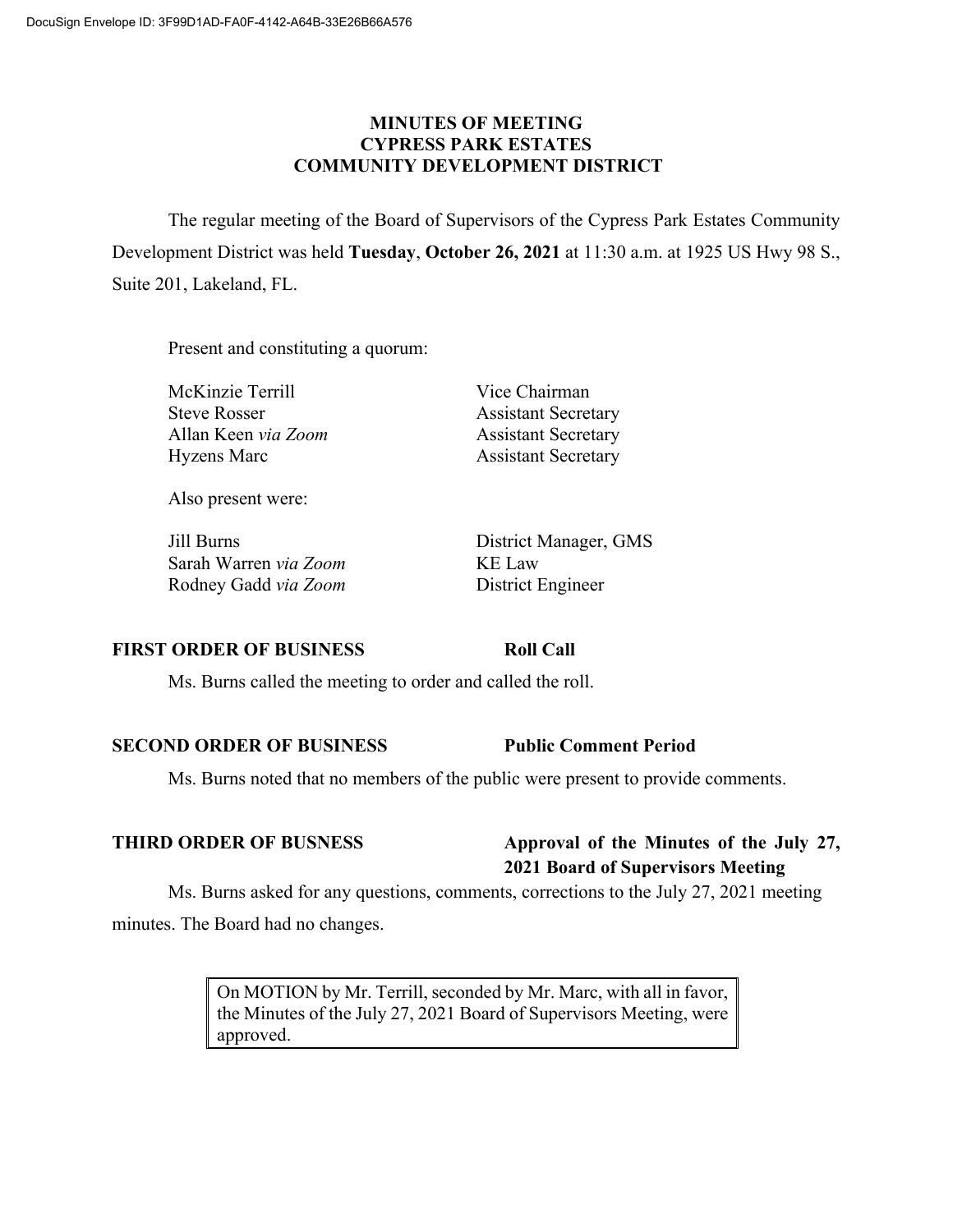### **MINUTES OF MEETING CYPRESS PARK ESTATES COMMUNITY DEVELOPMENT DISTRICT**

The regular meeting of the Board of Supervisors of the Cypress Park Estates Community Development District was held **Tuesday**, **October 26, 2021** at 11:30 a.m. at 1925 US Hwy 98 S., Suite 201, Lakeland, FL.

Present and constituting a quorum:

McKinzie Terrill Vice Chairman Steve Rosser Assistant Secretary Allan Keen *via Zoom* Assistant Secretary Hyzens Marc Assistant Secretary

Also present were:

Sarah Warren *via Zoom* KE Law Rodney Gadd *via Zoom* District Engineer

Jill Burns District Manager, GMS

### **FIRST ORDER OF BUSINESS Roll Call**

Ms. Burns called the meeting to order and called the roll.

#### **SECOND ORDER OF BUSINESS Public Comment Period**

Ms. Burns noted that no members of the public were present to provide comments.

# **THIRD ORDER OF BUSNESS Approval of the Minutes of the July 27,**

Ms. Burns asked for any questions, comments, corrections to the July 27, 2021 meeting minutes. The Board had no changes.

> On MOTION by Mr. Terrill, seconded by Mr. Marc, with all in favor, the Minutes of the July 27, 2021 Board of Supervisors Meeting, were approved.

**2021 Board of Supervisors Meeting**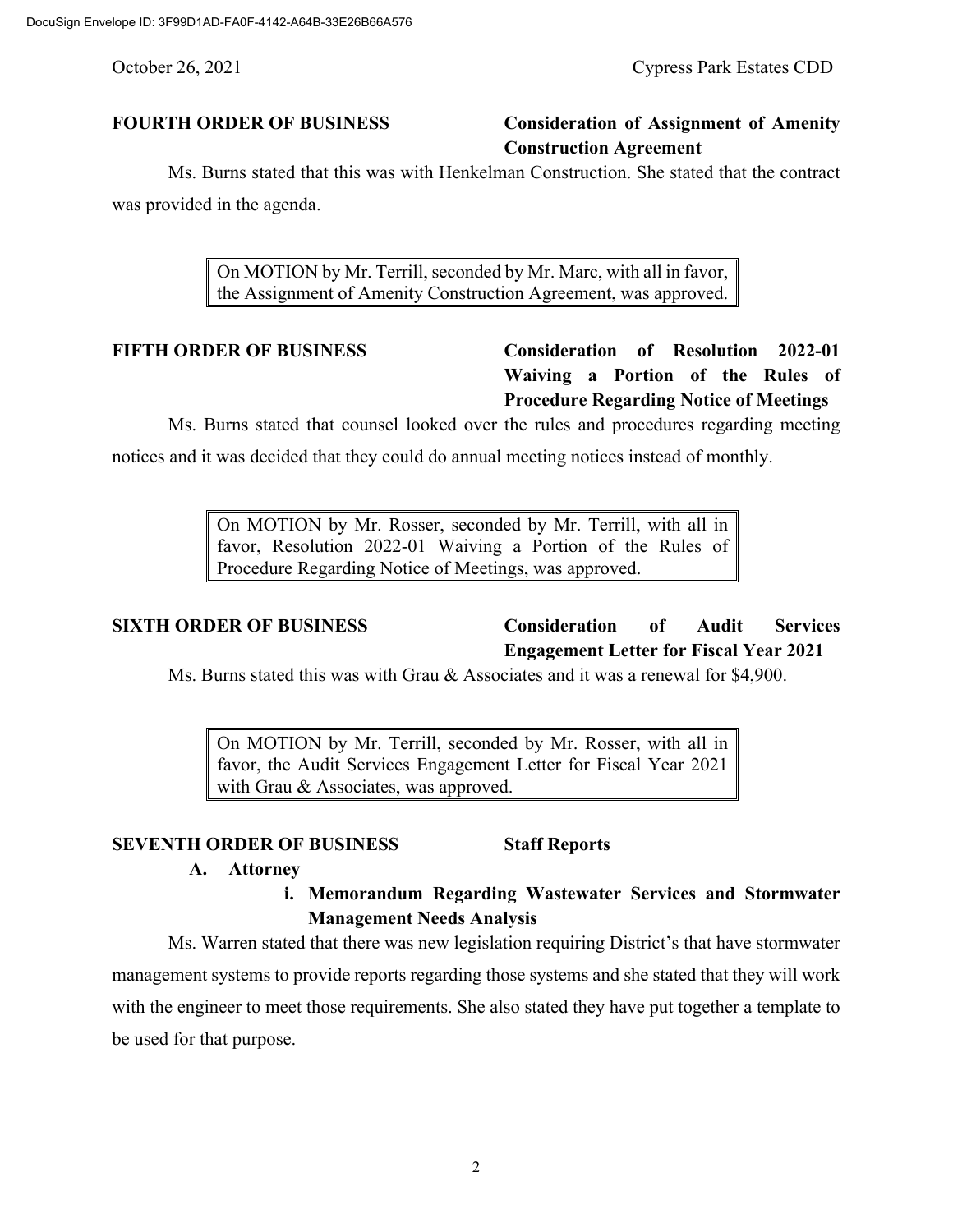October 26, 2021 Cypress Park Estates CDD

### **FOURTH ORDER OF BUSINESS Consideration of Assignment of Amenity Construction Agreement**

Ms. Burns stated that this was with Henkelman Construction. She stated that the contract was provided in the agenda.

> On MOTION by Mr. Terrill, seconded by Mr. Marc, with all in favor, the Assignment of Amenity Construction Agreement, was approved.

## **FIFTH ORDER OF BUSINESS Consideration of Resolution 2022-01 Waiving a Portion of the Rules of Procedure Regarding Notice of Meetings**

Ms. Burns stated that counsel looked over the rules and procedures regarding meeting

notices and it was decided that they could do annual meeting notices instead of monthly.

On MOTION by Mr. Rosser, seconded by Mr. Terrill, with all in favor, Resolution 2022-01 Waiving a Portion of the Rules of Procedure Regarding Notice of Meetings, was approved.

**SIXTH ORDER OF BUSINESS Consideration of Audit Services Engagement Letter for Fiscal Year 2021**

Ms. Burns stated this was with Grau & Associates and it was a renewal for \$4,900.

On MOTION by Mr. Terrill, seconded by Mr. Rosser, with all in favor, the Audit Services Engagement Letter for Fiscal Year 2021 with Grau & Associates, was approved.

#### **SEVENTH ORDER OF BUSINESS Staff Reports**

#### **A. Attorney**

### **i. Memorandum Regarding Wastewater Services and Stormwater Management Needs Analysis**

Ms. Warren stated that there was new legislation requiring District's that have stormwater management systems to provide reports regarding those systems and she stated that they will work with the engineer to meet those requirements. She also stated they have put together a template to be used for that purpose.